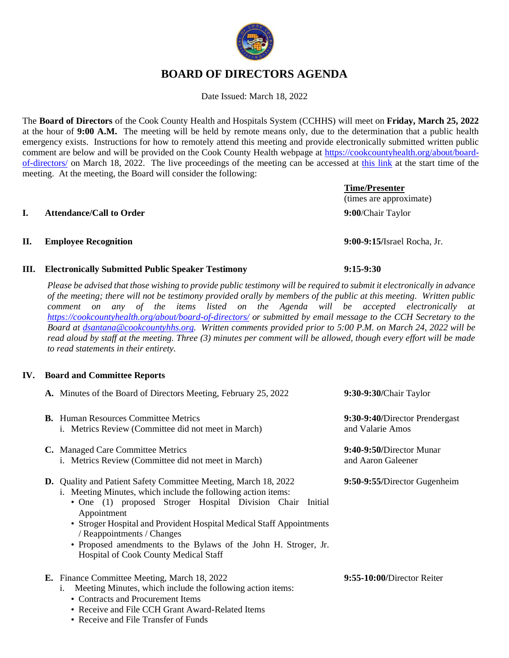# **BOARD OF DIRECTORS AGENDA**

Date Issued: March 18, 2022

The **Board of Directors** of the Cook County Health and Hospitals System (CCHHS) will meet on **Friday, March 25, 2022** at the hour of **9:00 A.M.** The meeting will be held by remote means only, due to the determination that a public health emergency exists. Instructions for how to remotely attend this meeting and provide electronically submitted written public comment are below and will be provided on the Cook County Health webpage at [https://cookcountyhealth.org/about/board](https://cookcountyhealth.org/about/board-of-directors/)[of-directors/](https://cookcountyhealth.org/about/board-of-directors/) on March 18, 2022. The live proceedings of the meeting can be accessed at [this link](https://www.youtube.com/channel/UCj9DT_l0RU-MVC-_u-tOkZA) at the start time of the meeting. At the meeting, the Board will consider the following:

#### **I. Attendance/Call to Order 9:00**/Chair Taylor

# **II. Employee Recognition 9:00-9:15/**Israel Rocha, Jr.

# **III. Electronically Submitted Public Speaker Testimony 9:15-9:30**

*Please be advised that those wishing to provide public testimony will be required to submit it electronically in advance of the meeting; there will not be testimony provided orally by members of the public at this meeting. Written public comment on any of the items listed on the Agenda will be accepted electronically at <https://cookcountyhealth.org/about/board-of-directors/> or submitted by email message to the CCH Secretary to the Board at [dsantana@cookcountyhhs.org.](mailto:dsantana@cookcountyhhs.org) Written comments provided prior to 5:00 P.M. on March 24, 2022 will be read aloud by staff at the meeting. Three (3) minutes per comment will be allowed, though every effort will be made to read statements in their entirety.*

# **IV. Board and Committee Reports**

| A. Minutes of the Board of Directors Meeting, February 25, 2022                                                                                                                                                                                                                                                                                                                                                                                  | 9:30-9:30/Chair Taylor                             |
|--------------------------------------------------------------------------------------------------------------------------------------------------------------------------------------------------------------------------------------------------------------------------------------------------------------------------------------------------------------------------------------------------------------------------------------------------|----------------------------------------------------|
| <b>B.</b> Human Resources Committee Metrics<br>i. Metrics Review (Committee did not meet in March)                                                                                                                                                                                                                                                                                                                                               | 9:30-9:40/Director Prendergast<br>and Valarie Amos |
| C. Managed Care Committee Metrics<br>i. Metrics Review (Committee did not meet in March)                                                                                                                                                                                                                                                                                                                                                         | 9:40-9:50/Director Munar<br>and Aaron Galeener     |
| <b>D.</b> Quality and Patient Safety Committee Meeting, March 18, 2022<br>i. Meeting Minutes, which include the following action items:<br>• One (1) proposed Stroger Hospital Division Chair<br>Initial<br>Appointment<br>• Stroger Hospital and Provident Hospital Medical Staff Appointments<br>/ Reappointments / Changes<br>• Proposed amendments to the Bylaws of the John H. Stroger, Jr.<br><b>Hospital of Cook County Medical Staff</b> | 9:50-9:55/Director Gugenheim                       |
| E. Finance Committee Meeting, March 18, 2022<br>Meeting Minutes, which include the following action items:<br>1.<br>• Contracts and Procurement Items<br>• Receive and File CCH Grant Award-Related Items                                                                                                                                                                                                                                        | 9:55-10:00/Director Reiter                         |



# (times are approximate)

**Time/Presenter**

• Receive and File Transfer of Funds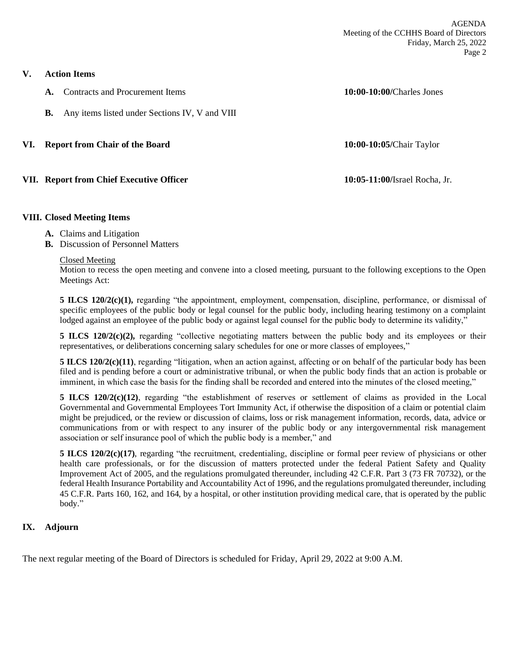**V. Action Items**

**A.** Contracts and Procurement Items **10:00-10:00/**Charles Jones

**B.** Any items listed under Sections IV, V and VIII

#### **VI. Report from Chair of the Board 10:00-10:05/**Chair Taylor

### **VII. Report from Chief Executive Officer 10:05-11:00/**Israel Rocha, Jr.

#### **VIII. Closed Meeting Items**

- **A.** Claims and Litigation
- **B.** Discussion of Personnel Matters

#### Closed Meeting

Motion to recess the open meeting and convene into a closed meeting, pursuant to the following exceptions to the Open Meetings Act:

**5 ILCS 120/2(c)(1),** regarding "the appointment, employment, compensation, discipline, performance, or dismissal of specific employees of the public body or legal counsel for the public body, including hearing testimony on a complaint lodged against an employee of the public body or against legal counsel for the public body to determine its validity,"

**5 ILCS 120/2(c)(2),** regarding "collective negotiating matters between the public body and its employees or their representatives, or deliberations concerning salary schedules for one or more classes of employees,"

**5 ILCS 120/2(c)(11)**, regarding "litigation, when an action against, affecting or on behalf of the particular body has been filed and is pending before a court or administrative tribunal, or when the public body finds that an action is probable or imminent, in which case the basis for the finding shall be recorded and entered into the minutes of the closed meeting,"

**5 ILCS 120/2(c)(12)**, regarding "the establishment of reserves or settlement of claims as provided in the Local Governmental and Governmental Employees Tort Immunity Act, if otherwise the disposition of a claim or potential claim might be prejudiced, or the review or discussion of claims, loss or risk management information, records, data, advice or communications from or with respect to any insurer of the public body or any intergovernmental risk management association or self insurance pool of which the public body is a member," and

**5 ILCS 120/2(c)(17)**, regarding "the recruitment, credentialing, discipline or formal peer review of physicians or other health care professionals, or for the discussion of matters protected under the federal Patient Safety and Quality Improvement Act of 2005, and the regulations promulgated thereunder, including 42 C.F.R. Part 3 (73 FR 70732), or the federal Health Insurance Portability and Accountability Act of 1996, and the regulations promulgated thereunder, including 45 C.F.R. Parts 160, 162, and 164, by a hospital, or other institution providing medical care, that is operated by the public body."

### **IX. Adjourn**

The next regular meeting of the Board of Directors is scheduled for Friday, April 29, 2022 at 9:00 A.M.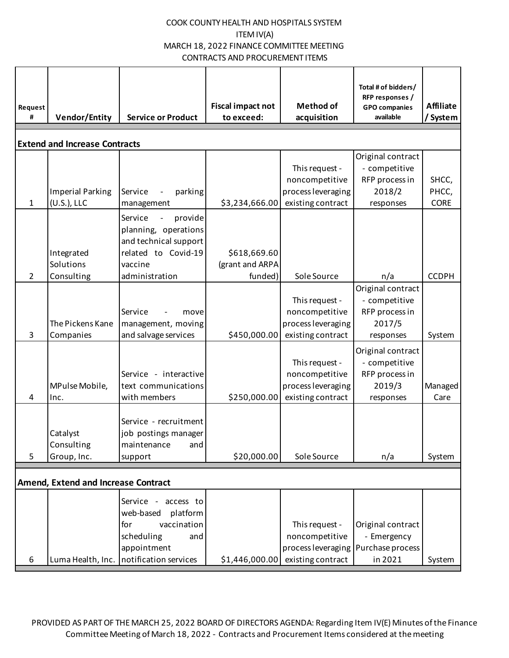| Request<br>#                         | <b>Vendor/Entity</b>                       | <b>Service or Product</b>                                                                                                                 | <b>Fiscal impact not</b><br>to exceed:     | <b>Method of</b><br>acquisition                                             | Total # of bidders/<br>RFP responses /<br><b>GPO</b> companies<br>available | <b>Affiliate</b><br>/ System  |  |
|--------------------------------------|--------------------------------------------|-------------------------------------------------------------------------------------------------------------------------------------------|--------------------------------------------|-----------------------------------------------------------------------------|-----------------------------------------------------------------------------|-------------------------------|--|
| <b>Extend and Increase Contracts</b> |                                            |                                                                                                                                           |                                            |                                                                             |                                                                             |                               |  |
| $\mathbf{1}$                         | <b>Imperial Parking</b><br>(U.S.), LLC     | Service<br>parking<br>management                                                                                                          | \$3,234,666.00                             | This request -<br>noncompetitive<br>process leveraging<br>existing contract | Original contract<br>- competitive<br>RFP process in<br>2018/2<br>responses | SHCC,<br>PHCC,<br><b>CORE</b> |  |
| $\overline{2}$                       | Integrated<br>Solutions<br>Consulting      | Service<br>provide<br>$\blacksquare$<br>planning, operations<br>and technical support<br>related to Covid-19<br>vaccine<br>administration | \$618,669.60<br>(grant and ARPA<br>funded) | Sole Source                                                                 | n/a                                                                         | <b>CCDPH</b>                  |  |
| 3                                    | The Pickens Kane<br>Companies              | Service<br>move<br>management, moving<br>and salvage services                                                                             | \$450,000.00                               | This request -<br>noncompetitive<br>process leveraging<br>existing contract | Original contract<br>- competitive<br>RFP process in<br>2017/5<br>responses | System                        |  |
| 4                                    | MPulse Mobile,<br>Inc.                     | Service - interactive<br>text communications<br>with members                                                                              | \$250,000.00                               | This request -<br>noncompetitive<br>process leveraging<br>existing contract | Original contract<br>- competitive<br>RFP process in<br>2019/3<br>responses | Managed<br>Care               |  |
| 5                                    | Catalyst<br>Consulting<br>Group, Inc.      | Service - recruitment<br>job postings manager<br>maintenance<br>and<br>support                                                            | \$20,000.00                                | Sole Source                                                                 | n/a                                                                         | System                        |  |
|                                      | <b>Amend, Extend and Increase Contract</b> |                                                                                                                                           |                                            |                                                                             |                                                                             |                               |  |
| 6                                    | Luma Health, Inc.                          | Service -<br>access to<br>web-based<br>platform<br>vaccination<br>for<br>scheduling<br>and<br>appointment<br>notification services        | \$1,446,000.00                             | This request -<br>noncompetitive<br>process leveraging<br>existing contract | Original contract<br>- Emergency<br>Purchase process<br>in 2021             | System                        |  |

PROVIDED AS PART OF THE MARCH 25, 2022 BOARD OF DIRECTORS AGENDA: Regarding Item IV(E) Minutes of the Finance Committee Meeting of March 18, 2022 - Contracts and Procurement Items considered at the meeting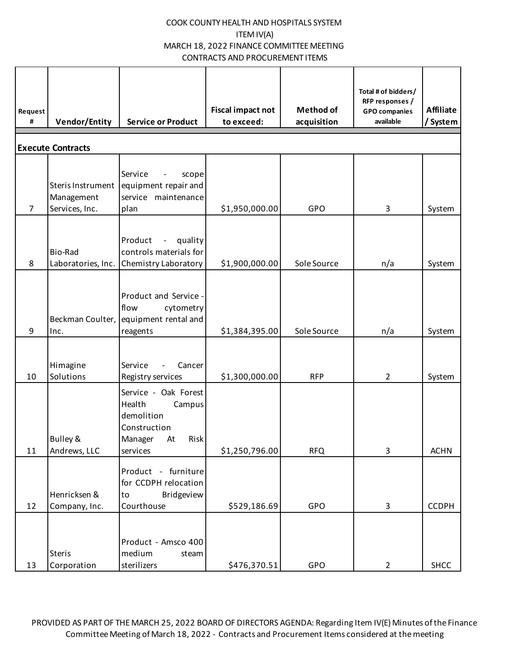| Request<br>#   | <b>Vendor/Entity</b>                              | <b>Service or Product</b>                                                                                | <b>Fiscal impact not</b><br>to exceed: | <b>Method of</b><br>acquisition | Total # of bidders/<br>RFP responses /<br><b>GPO</b> companies<br>available | <b>Affiliate</b><br>/ System |
|----------------|---------------------------------------------------|----------------------------------------------------------------------------------------------------------|----------------------------------------|---------------------------------|-----------------------------------------------------------------------------|------------------------------|
|                | <b>Execute Contracts</b>                          |                                                                                                          |                                        |                                 |                                                                             |                              |
| $\overline{7}$ | Steris Instrument<br>Management<br>Services, Inc. | Service<br>scope<br>equipment repair and<br>service maintenance<br>plan                                  | \$1,950,000.00                         | GPO                             | 3                                                                           | System                       |
| 8              | Bio-Rad<br>Laboratories, Inc.                     | Product<br>- quality<br>controls materials for<br>Chemistry Laboratory                                   | \$1,900,000.00                         | Sole Source                     | n/a                                                                         | System                       |
| 9              | Inc.                                              | Product and Service -<br>flow<br>cytometry<br>Beckman Coulter, equipment rental and<br>reagents          | \$1,384,395.00                         | Sole Source                     | n/a                                                                         | System                       |
| 10             | Himagine<br>Solutions                             | Service<br>Cancer<br>Registry services                                                                   | \$1,300,000.00                         | <b>RFP</b>                      | $\overline{2}$                                                              | System                       |
| 11             | Bulley &<br>Andrews, LLC                          | Service - Oak Forest<br>Health<br>Campus<br>demolition<br>Construction<br>Risk<br>Manager At<br>services | \$1,250,796.00                         | <b>RFQ</b>                      | 3                                                                           | <b>ACHN</b>                  |
| 12             | Henricksen &<br>Company, Inc.                     | Product - furniture<br>for CCDPH relocation<br>Bridgeview<br>to<br>Courthouse                            | \$529,186.69                           | GPO                             | $\mathbf{3}$                                                                | <b>CCDPH</b>                 |
| 13             | <b>Steris</b><br>Corporation                      | Product - Amsco 400<br>medium<br>steam<br>sterilizers                                                    | \$476,370.51                           | GPO                             | $\overline{2}$                                                              | <b>SHCC</b>                  |

PROVIDED AS PART OF THE MARCH 25, 2022 BOARD OF DIRECTORS AGENDA: Regarding Item IV(E) Minutes of the Finance Committee Meeting of March 18, 2022 - Contracts and Procurement Items considered at the meeting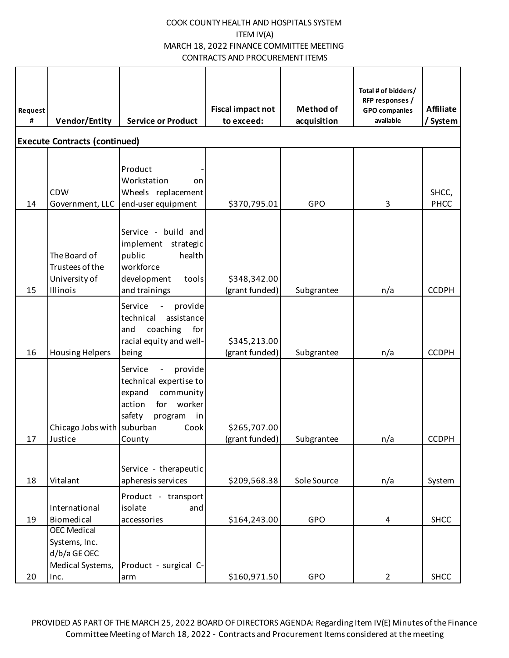| Request<br># | <b>Vendor/Entity</b>                                                            | <b>Service or Product</b>                                                                                                                                               | <b>Fiscal impact not</b><br>to exceed: | <b>Method of</b><br>acquisition | Total # of bidders/<br>RFP responses /<br><b>GPO</b> companies<br>available | <b>Affiliate</b><br>/ System |  |  |  |
|--------------|---------------------------------------------------------------------------------|-------------------------------------------------------------------------------------------------------------------------------------------------------------------------|----------------------------------------|---------------------------------|-----------------------------------------------------------------------------|------------------------------|--|--|--|
|              | <b>Execute Contracts (continued)</b>                                            |                                                                                                                                                                         |                                        |                                 |                                                                             |                              |  |  |  |
| 14           | <b>CDW</b><br>Government, LLC                                                   | Product<br>Workstation<br>on<br>Wheels replacement<br>end-user equipment                                                                                                | \$370,795.01                           | GPO                             | 3                                                                           | SHCC,<br>PHCC                |  |  |  |
| 15           | The Board of<br>Trustees of the<br>University of<br>Illinois                    | Service - build and<br>implement strategic<br>public<br>health<br>workforce<br>development<br>tools<br>and trainings                                                    | \$348,342.00<br>(grant funded)         | Subgrantee                      | n/a                                                                         | <b>CCDPH</b>                 |  |  |  |
| 16           | <b>Housing Helpers</b>                                                          | Service<br>provide<br>$\overline{\phantom{a}}$<br>assistance<br>technical<br>and<br>coaching<br>for<br>racial equity and well-<br>being                                 | \$345,213.00<br>(grant funded)         | Subgrantee                      | n/a                                                                         | <b>CCDPH</b>                 |  |  |  |
| 17           | Chicago Jobs with suburban<br>Justice                                           | Service<br>provide<br>$\overline{\phantom{a}}$<br>technical expertise to<br>community<br>expand<br>action<br>for<br>worker<br>safety<br>program<br>in<br>Cook<br>County | \$265,707.00<br>(grant funded)         | Subgrantee                      | n/a                                                                         | <b>CCDPH</b>                 |  |  |  |
| 18           | Vitalant                                                                        | Service - therapeutic<br>apheresis services                                                                                                                             | \$209,568.38                           | Sole Source                     |                                                                             |                              |  |  |  |
| 19           | International<br>Biomedical                                                     | Product - transport<br>isolate<br>and<br>accessories                                                                                                                    | \$164,243.00                           | GPO                             | n/a<br>4                                                                    | System<br><b>SHCC</b>        |  |  |  |
| 20           | <b>OEC Medical</b><br>Systems, Inc.<br>d/b/a GE OEC<br>Medical Systems,<br>Inc. | Product - surgical C-<br>arm                                                                                                                                            | \$160,971.50                           | GPO                             | $\overline{2}$                                                              | <b>SHCC</b>                  |  |  |  |

PROVIDED AS PART OF THE MARCH 25, 2022 BOARD OF DIRECTORS AGENDA: Regarding Item IV(E) Minutes of the Finance Committee Meeting of March 18, 2022 - Contracts and Procurement Items considered at the meeting